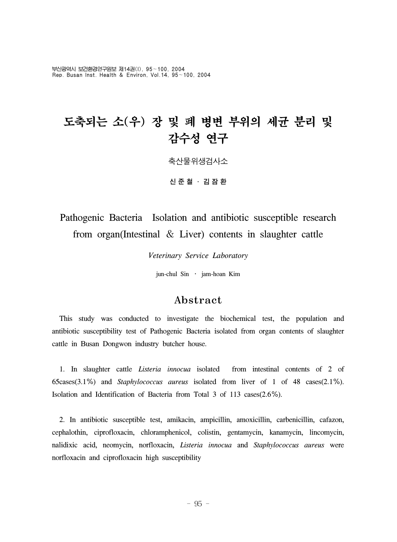부산광역시 보건환경연구원보 제14권(I), 95~100, 2004 Rep. Busan Inst. Health & Environ, Vol.14, 95~100, 2004

# 도축되는 소(우) 장 및 폐 병변 부위의 세균 분리 및 감수성 연구 축산물위생검사소 신준철 ․ 김잠환

# Pathogenic Bacteria Isolation and antibiotic susceptible research from organ(Intestinal & Liver) contents in slaughter cattle

*Veterinary Service Laboratory*

jun-chul Sin ․ jam-hoan Kim

# Abstract

 This study was conducted to investigate the biochemical test, the population and antibiotic susceptibility test of Pathogenic Bacteria isolated from organ contents of slaughter cattle in Busan Dongwon industry butcher house.

 1. In slaughter cattle *Listeria innocua* isolated from intestinal contents of 2 of 65cases(3.1%) and *Staphylococcus aureus* isolated from liver of 1 of 48 cases(2.1%). Isolation and Identification of Bacteria from Total 3 of 113 cases(2.6%).

 2. In antibiotic susceptible test, amikacin, ampicillin, amoxicillin, carbenicillin, cafazon, cephalothin, ciprofloxacin, chloramphenicol, colistin, gentamycin, kanamycin, lincomycin, nalidixic acid, neomycin, norfloxacin, *Listeria innocua* and *Staphylococcus aureus* were norfloxacin and ciprofloxacin high susceptibility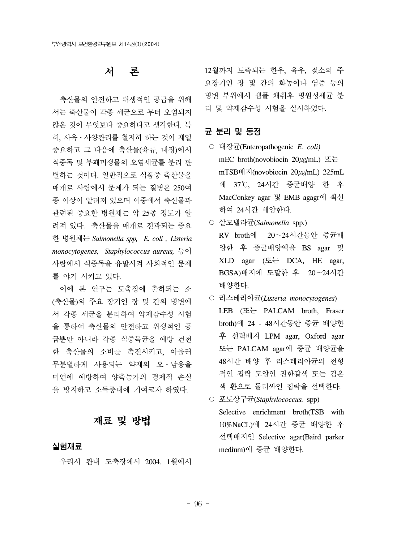# 서 론

 축산물의 안전하고 위생적인 공급을 위해 서는 축산물이 각종 세균으로 부터 오염되지 않은 것이 무엇보다 중요하다고 생각한다. 특 히, 사육․사양관리를 철저히 하는 것이 제일 중요하고 그 다음에 축산물(육류, 내장)에서 식중독 및 부패미생물의 오염세균를 분리 판 별하는 것이다. 일반적으로 식품중 축산물을 매개로 사람에서 문제가 되는 질병은 250여 종 이상이 알려져 있으며 이중에서 축산물과 관련된 중요한 병원체는 약 25종 정도가 알 려져 있다. 축산물을 매개로 전파되는 중요 한 병원체는 *Salmonella spp, E. coli , Listeria monocytogenes, Staphylococcus aureus,* 등이 사람에서 식중독을 유발시켜 사회적인 문제 를 야기 시키고 있다.

 이에 본 연구는 도축장에 출하되는 소 (축산물)의 주요 장기인 장 및 간의 병변에 서 각종 세균을 분리하여 약제감수성 시험 을 통하여 축산물의 안전하고 위생적인 공 급뿐만 아니라 각종 식중독균을 예방 건전 한 축산물의 소비를 촉진시키고, 아울러 무분별하게 사용되는 약제의 오․남용을 미연에 예방하여 양축농가의 경제적 손실 을 방지하고 소득증대에 기여코자 하였다.

# 재료 및 방법

#### 실험재료

우리시 관내 도축장에서 2004. 1월에서

12월까지 도축되는 한우, 육우, 젖소의 주 요장기인 장 및 간의 화농이나 염증 등의 병변 부위에서 샘플 채취후 병원성세균 분 리 및 약제감수성 시험을 실시하였다.

## 균 분리 및 동정

- 대장균(Enteropathogenic *E. coli)* mEC broth(novobiocin 20㎍/mL) 또는 mTSB배지(novobiocin 20㎍/mL) 225mL 에 37℃, 24시간 증균배양 한 후 MacConkey agar 및 EMB agagr에 획선 하여 24시간 배양한다.
- 살모넬라균(*Salmonella* spp.) RV broth에 20~24시간동안 증균배 양한 후 증균배양액을 BS agar 및 XLD agar (또는 DCA, HE agar, BGSA)배지에 도말한 후 20~24시간 배양한다.
- 리스테리아균(*Listeria monocytogenes*) LEB (또는 PALCAM broth, Fraser broth)에 24 - 48시간동안 증균 배양한 후 선택배지 LPM agar, Oxford agar 또는 PALCAM agar에 증균 배양균을 48시간 배양 후 리스테리아균의 전형 적인 집락 모양인 진한갈색 또는 검은 색 환으로 둘러싸인 집락을 선택한다.
- 포도상구균(*Staphylococcus.* spp) Selective enrichment broth(TSB with 10%NaCL)에 24시간 증균 배양한 후 선택배지인 Selective agar(Baird parker medium)에 증균 배양한다.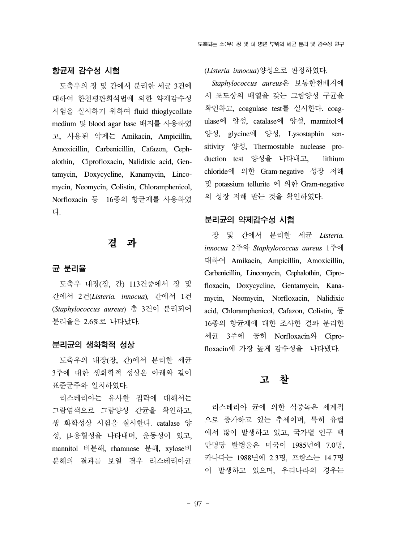#### 항균제 감수성 시험

 도축우의 장 및 간에서 분리한 세균 3건에 대하여 한천평판희석법에 의한 약제감수성 시험을 실시하기 위하여 fluid thioglycollate medium 및 blood agar base 배지를 사용하였 고, 사용된 약제는 Amikacin, Ampicillin, Amoxicillin, Carbenicillin, Cafazon, Cephalothin, Ciprofloxacin, Nalidixic acid, Gentamycin, Doxycycline, Kanamycin, Lincomycin, Neomycin, Colistin, Chloramphenicol, Norfloxacin 등 16종의 항균제를 사용하였 다.

## 결 과

#### 균 분리율

 도축우 내장(장, 간) 113건중에서 장 및 간에서 2건(*Listeria. innocua*)*,* 간에서 1건 (*Staphylococcus aureus*) 총 3건이 분리되어 분리율은 2.6%로 나타났다*.*

#### 분리균의 생화학적 성상

 도축우의 내장(장, 간)에서 분리한 세균 3주에 대한 생화학적 성상은 아래와 같이 표준균주와 일치하였다.

 리스테리아는 유사한 집락에 대해서는 그람염색으로 그람양성 간균을 확인하고, 생 화학성상 시험을 실시한다. catalase 양 성, β-용혈성을 나타내며, 운동성이 있고, mannitol 비분해, rhamnose 분해, xylose비 분해의 결과를 보일 경우 리스테리아균 (*Listeria innocua*)양성으로 판정하였다.

 *Staphylococcus aureus*은 보통한천배지에 서 포도상의 배열을 갖는 그람양성 구균을 확인하고, coagulase test를 실시한다. coagulase에 양성, catalase에 양성, mannitol에 양성, glycine에 양성, Lysostaphin sensitivity 양성, Thermostable nuclease production test 양성을 나타내고, lithium chloride에 의한 Gram-negative 성장 저해 및 potassium tellurite 에 의한 Gram-negative 의 성장 저해 받는 것을 확인하였다.

## 분리균의 약제감수성 시험

 장 및 간에서 분리한 세균 *Listeria. innocua* 2주와 *Staphylococcus aureus* 1주에 대하여 Amikacin, Ampicillin, Amoxicillin, Carbenicillin, Lincomycin, Cephalothin, Ciprofloxacin, Doxycycline, Gentamycin, Kanamycin, Neomycin, Norfloxacin, Nalidixic acid, Chloramphenicol, Cafazon, Colistin, 등 16종의 항균제에 대한 조사한 결과 분리한 세균 3주에 공히 Norfloxacin와 Ciprofloxacin에 가장 높게 감수성을 나타냈다.

## 고 찰

리스테리아 균에 의한 식중독은 세계적 으로 증가하고 있는 추세이며, 특히 유럽 에서 많이 발생하고 있고, 국가별 인구 백 만명당 발병율은 미국이 1985년에 7.0명, 카나다는 1988년에 2.3명, 프랑스는 14.7명 이 발생하고 있으며, 우리나라의 경우는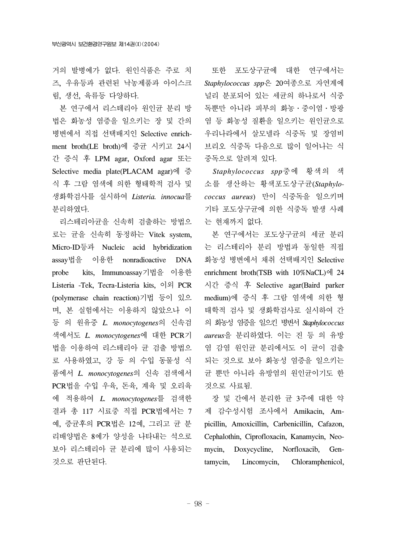거의 발병예가 없다. 원인식품은 주로 치 즈, 우유등과 관련된 낙농제품과 아이스크 림, 생선, 육류등 다양하다.

 본 연구에서 리스테리아 원인균 분리 방 법은 화농성 염증을 일으키는 장 및 간의 병변에서 직접 선택배지인 Selective enrichment broth(LE broth)에 증균 시키고 24시 간 증식 후 LPM agar, Oxford agar 또는 Selective media plate(PLACAM agar)에 증 식 후 그람 염색에 의한 형태학적 검사 및 생화학검사를 실시하여 *Listeria. innocua*를 분리하였다.

 리스테리아균을 신속히 검출하는 방법으 로는 균을 신속히 동정하는 Vitek system, Micro-ID등과 Nucleic acid hybridization assay법을 이용한 nonradioactive DNA probe kits, Immunoassay기법을 이용한 Listeria -Tek, Tecra-Listeria kits, 이외 PCR (polymerase chain reaction)기법 등이 있으 며, 본 실험에서는 이용하지 않았으나 이 등 의 원유중 *L. monocytogenes*의 신속검 색에서도 *L. monocytogenes*에 대한 PCR기 법을 이용하여 리스테리아 균 검출 방법으 로 사용하였고, 강 등 의 수입 동물성 식 품에서 *L. monocytogenes*의 신속 검색에서 PCR법을 수입 우육, 돈육, 계육 및 오리육 에 적용하여 *L. monocytogenes*를 검색한 결과 총 117 시료중 직접 PCR법에서는 7 예, 증균후의 PCR법은 12예, 그리고 균 분 리배양법은 8예가 양성을 나타내는 석으로 보아 리스테리아 균 분리에 많이 사용되는 것으로 판단된다.

 또한 포도상구균에 대한 연구에서는 *Staphylococcus spp*은 20여종으로 자연계에 널리 분포되어 있는 세균의 하나로서 식중 독뿐만 아니라 피부의 화농․중이염․방광 염 등 화농성 질환을 일으키는 원인균으로 우리나라에서 살모넬라 식중독 및 장염비 브리오 식중독 다음으로 많이 일어나는 식 중독으로 알려져 있다.

 *Staphylococcus spp*중에 황색의 색 소를 생산하는 황색포도상구균(*Staphylococcus aureus*) 만이 식중독을 일으키며 기타 포도상구균에 의한 식중독 발생 사례 는 현재까지 없다.

 본 연구에서는 포도상구균의 세균 분리 는 리스테리아 분리 방법과 동일한 직접 화농성 병변에서 채취 선택배지인 Selective enrichment broth(TSB with 10%NaCL)에 24 시간 증식 후 Selective agar(Baird parker medium)에 증식 후 그람 염색에 의한 형 태학적 검사 및 생화학검사로 실시하여 간 의 화농성 염증을 일으킨 병변서 *Staphylococcus aureus*을 분리하였다. 이는 진 등 의 유방 염 감염 원인균 분리에서도 이 균이 검출 되는 것으로 보아 화농성 염증을 일으키는 균 뿐만 아니라 유방염의 원인균이기도 한 것으로 사료됨.

 장 및 간에서 분리한 균 3주에 대한 약 제 감수성시험 조사에서 Amikacin, Ampicillin, Amoxicillin, Carbenicillin, Cafazon, Cephalothin, Ciprofloxacin, Kanamycin, Neomycin, Doxycycline, Norfloxacib, Gentamycin, Lincomycin, Chloramphenicol,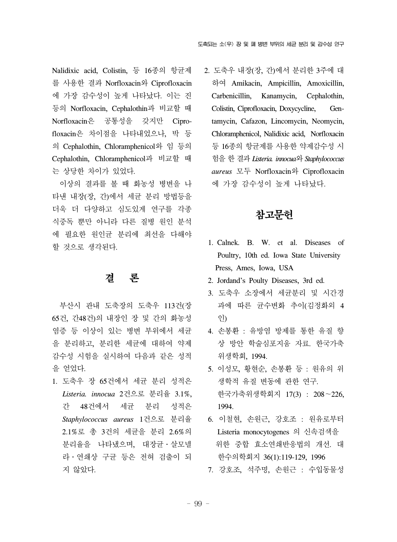Nalidixic acid, Colistin, 등 16종의 항균제 를 사용한 결과 Norfloxacin와 Ciprofloxacin 에 가장 감수성이 높게 나타났다. 이는 진 등의 Norfloxacin, Cephalothin과 비교할 때 Norfloxacin은 공통성을 갖지만 Ciprofloxacin은 차이점을 나타내었으나, 박 등 의 Cephalothin, Chloramphenicol와 임 등의 Cephalothin, Chloramphenicol과 비교할 때 는 상당한 차이가 있었다.

 이상의 결과를 볼 때 화농성 병변을 나 타낸 내장(장, 간)에서 세균 분리 방법등을 더욱 더 다양하고 심도있게 연구를 각종 식중독 뿐만 아니라 다른 질병 원인 분석 에 필요한 원인균 분리에 최선을 다해야 할 것으로 생각된다.

# 결 론

 부산시 관내 도축장의 도축우 113건(장 65건, 간48건)의 내장인 장 및 간의 화농성 염증 등 이상이 있는 병변 부위에서 세균 을 분리하고, 분리한 세균에 대하여 약제 감수성 시험을 실시하여 다음과 같은 성적 을 얻었다.

1. 도축우 장 65건에서 세균 분리 성적은 *Listeria. innocua* 2건으로 분리율 3.1%, 간 48건에서 세균 분리 성적은 *Staphylococcus aureus* 1건으로 분리율 2.1%로 총 3건의 세균을 분리 2.6%의 분리율을 나타냈으며, 대장균․살모넬 라․연쇄상 구균 등은 전혀 검출이 되 지 않았다.

2. 도축우 내장(장, 간)에서 분리한 3주에 대 하여 Amikacin, Ampicillin, Amoxicillin, Carbenicillin, Kanamycin, Cephalothin, Colistin, Ciprofloxacin, Doxycycline, Gentamycin, Cafazon, Lincomycin, Neomycin, Chloramphenicol, Nalidixic acid, Norfloxacin 등 16종의 항균제를 사용한 약제감수성 시 험을 한 결과 *Listeria. innocua*와 *Staphylococcus aureus* 모두 Norfloxacin와 Ciprofloxacin 에 가장 감수성이 높게 나타났다.

# 참고문헌

- 1. Calnek. B. W. et al. Diseases of Poultry, 10th ed. Iowa State University Press, Ames, Iowa, USA
- 2. Jordand's Poulty Diseases, 3rd ed.
- 3. 도축우 소장에서 세균분리 및 시간경 과에 따른 균수변화 추이(김정화외 4 인)
- 4. 손봉환 : 유방염 방제를 통한 유질 향 상 방안 학술심포지움 자료. 한국가축 위생학회, 1994.
- 5. 이성모, 황현순, 손봉환 등 : 원유의 위 생학적 유질 변동에 관한 연구. 한국가축위생학회지 17(3) : 208~226, 1994.
- 6. 이철현, 손원근, 강호조 : 원유로부터 Listeria monocytogenes 의 신속검색을 위한 중합 효소연쇄반응법의 개선. 대 한수의학회지 36(1):119-129, 1996
- 7. 강호조, 석주명, 손원근 : 수입동물성